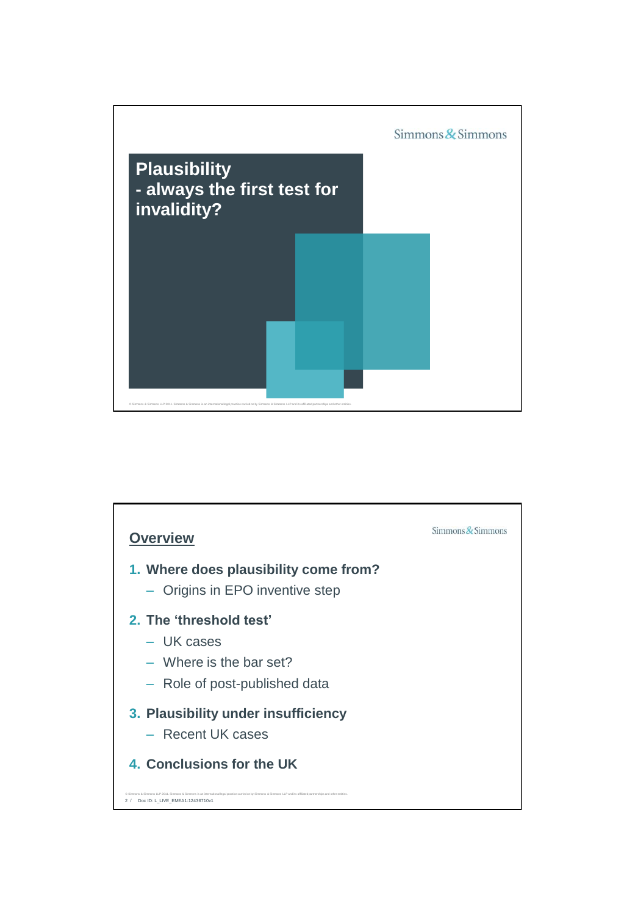

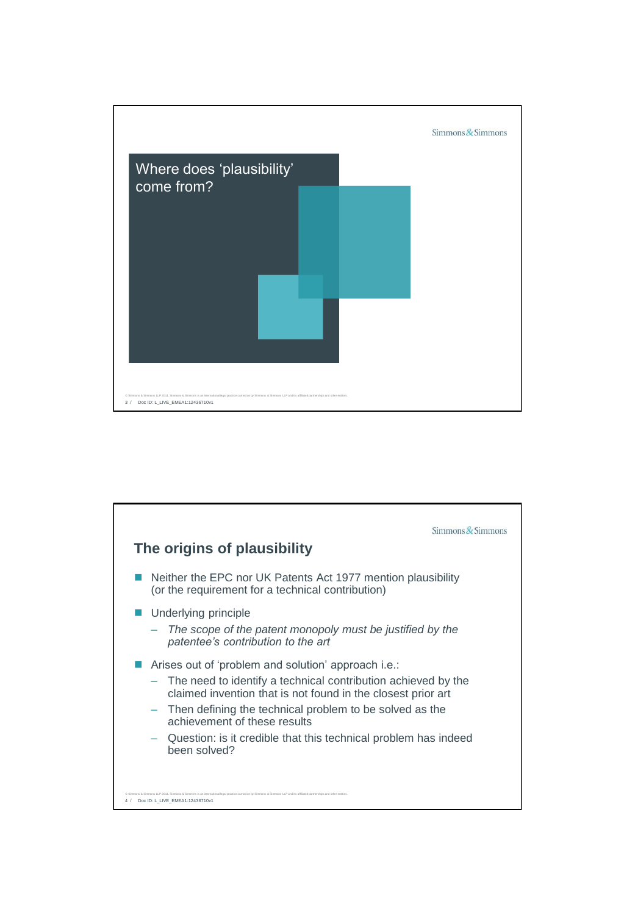

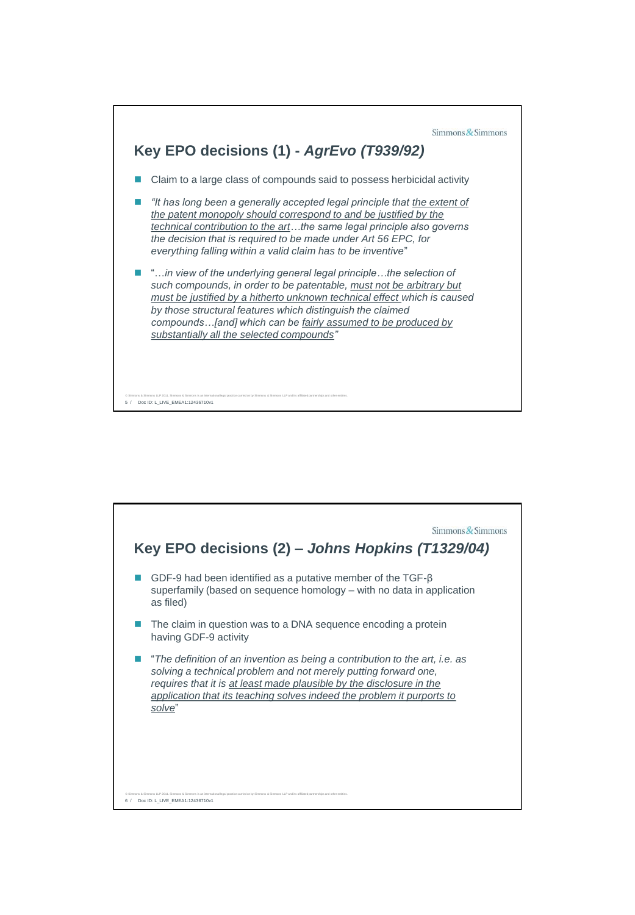

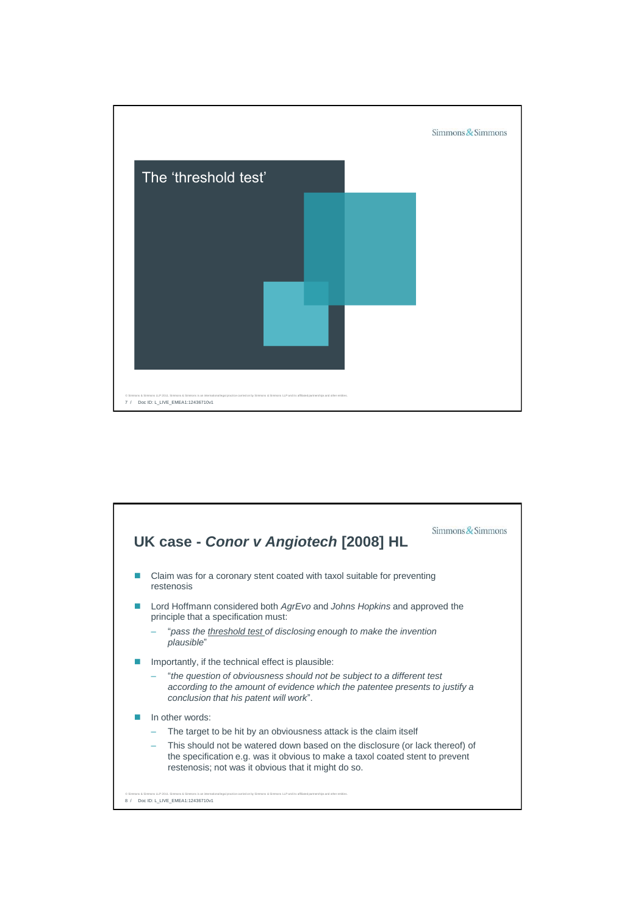

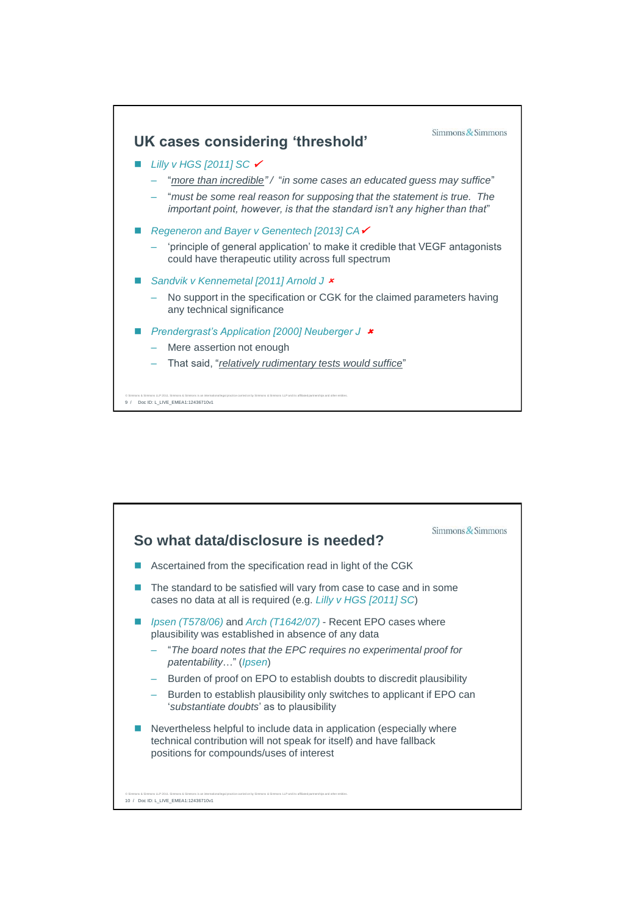

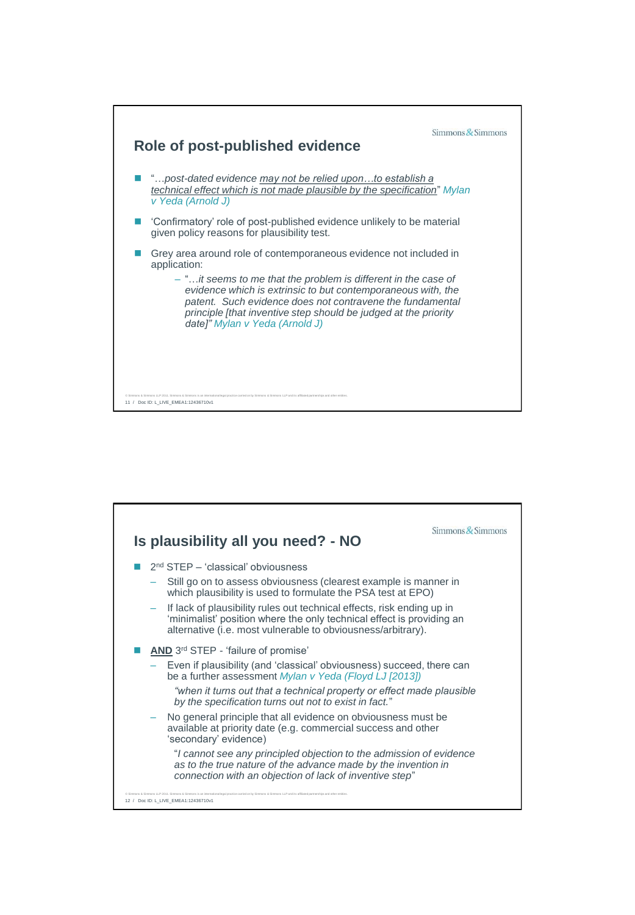

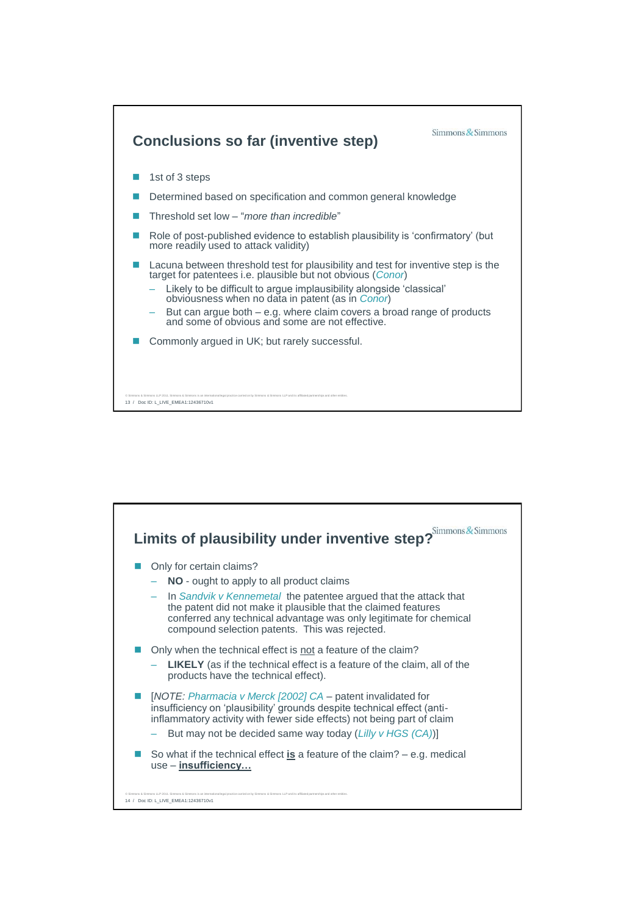

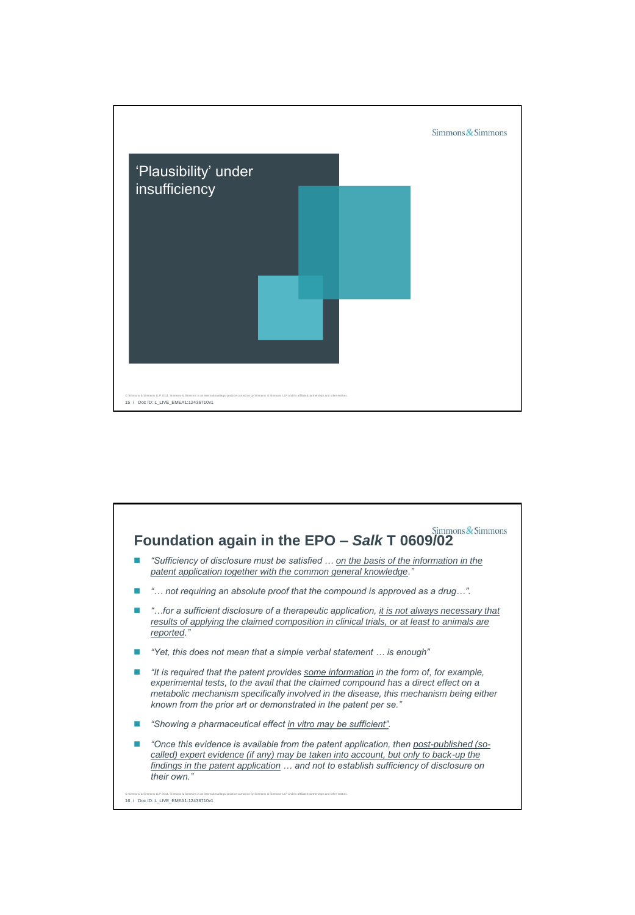

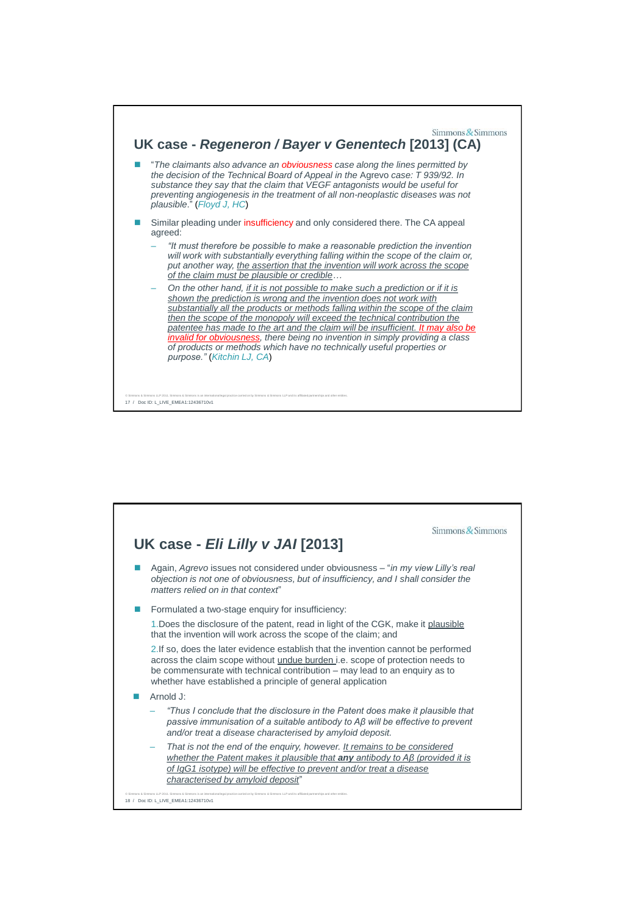

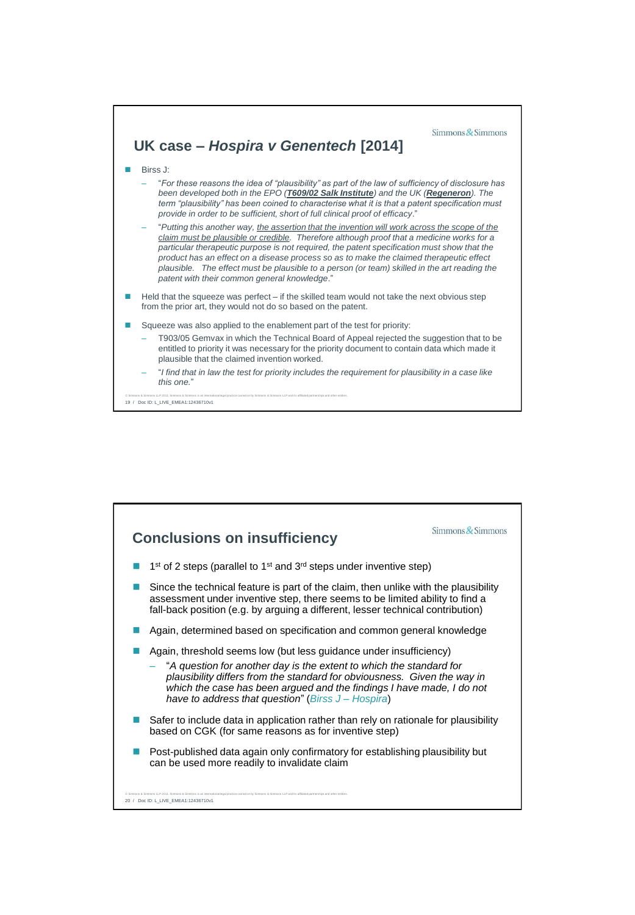